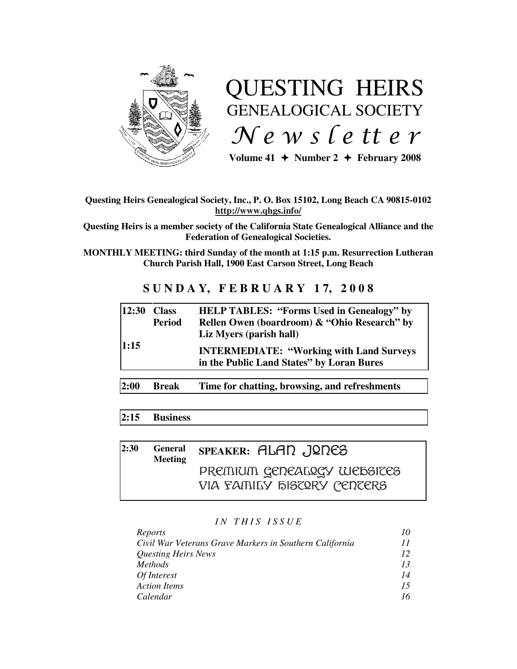

# QUESTING HEIRS GENEALOGICAL SOCIETY  $Ne$  w s letter

Volume  $41 \div \text{Number 2} \div \text{February } 2008$ 

## **Questing Heirs Genealogical Society, Inc., P. O. Box 15102, Long Beach CA 90815-0102 http://www.qhgs.info/**

**Questing Heirs is a member society of the California State Genealogical Alliance and the Federation of Genealogical Societies.** 

**MONTHLY MEETING: third Sunday of the month at 1:15 p.m. Resurrection Lutheran Church Parish Hall, 1900 East Carson Street, Long Beach** 

## **S U N D A Y, F E B R U A R Y 1 7, 2 0 0 8**

| 12:30 | <b>Class</b> | <b>HELP TABLES: "Forms Used in Genealogy" by</b>                                              |
|-------|--------------|-----------------------------------------------------------------------------------------------|
| 1:15  | Period       | Rellen Owen (boardroom) & "Ohio Research" by                                                  |
|       |              | Liz Myers (parish hall)                                                                       |
|       |              | <b>INTERMEDIATE: "Working with Land Surveys"</b><br>in the Public Land States" by Loran Bures |
|       |              |                                                                                               |

# **2:00 Break Time for chatting, browsing, and refreshments**

## **2:15 Business**

### **2:30 General Meeting SPEAKER:** ALAn jones Premium genealogy websites Via family history centers

## *I N T H I S I S S U E*

| Reports                                                 |    |
|---------------------------------------------------------|----|
| Civil War Veterans Grave Markers in Southern California |    |
| Questing Heirs News                                     | 12 |
| <i>Methods</i>                                          | 13 |
| Of Interest                                             | 14 |
| <b>Action Items</b>                                     | 15 |
| Calendar                                                | 16 |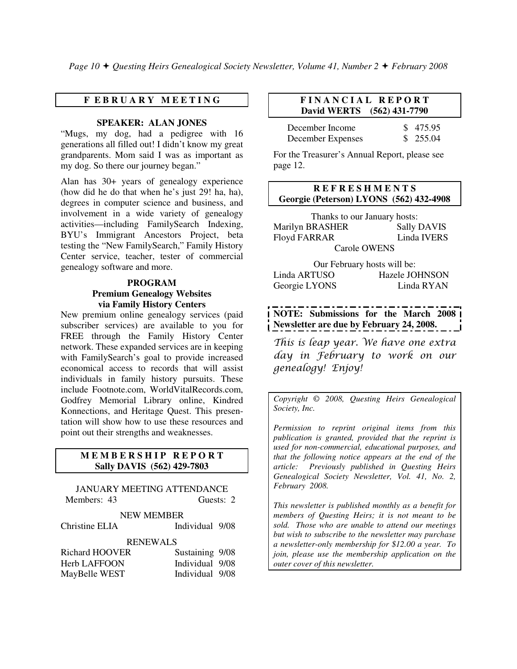## **F E B R U A R Y M E E T I N G**

#### **SPEAKER: ALAN JONES**

"Mugs, my dog, had a pedigree with 16 generations all filled out! I didn't know my great grandparents. Mom said I was as important as my dog. So there our journey began."

Alan has 30+ years of genealogy experience (how did he do that when he's just 29! ha, ha), degrees in computer science and business, and involvement in a wide variety of genealogy activities—including FamilySearch Indexing, BYU's Immigrant Ancestors Project, beta testing the "New FamilySearch," Family History Center service, teacher, tester of commercial genealogy software and more.

### **PROGRAM Premium Genealogy Websites via Family History Centers**

New premium online genealogy services (paid subscriber services) are available to you for FREE through the Family History Center network. These expanded services are in keeping with FamilySearch's goal to provide increased economical access to records that will assist individuals in family history pursuits. These include Footnote.com, WorldVitalRecords.com, Godfrey Memorial Library online, Kindred Konnections, and Heritage Quest. This presentation will show how to use these resources and point out their strengths and weaknesses.

#### **MEMBERSHIP REPORT Sally DAVIS (562) 429-7803**

JANUARY MEETING ATTENDANCE Members: 43 Guests: 2

NEW MEMBER Christine ELIA Individual 9/08

#### RENEWALS

| Richard HOOVER | Sustaining 9/08 |
|----------------|-----------------|
| Herb LAFFOON   | Individual 9/08 |
| MayBelle WEST  | Individual 9/08 |

#### **F I N A N C I A L R E P O R T David WERTS (562) 431-7790**

| December Income   | \$475.95 |
|-------------------|----------|
| December Expenses | \$255.04 |

For the Treasurer's Annual Report, please see page 12.

### **R E F R E S H M E N T S Georgie (Peterson) LYONS (562) 432-4908**

Thanks to our January hosts: Marilyn BRASHER Sally DAVIS Floyd FARRAR Linda IVERS Carole OWENS

Our February hosts will be: Linda ARTUSO Hazele JOHNSON Georgie LYONS Linda RYAN

**NOTE: Submissions for the March 2008 Newsletter are due by February 24, 2008.** 

This is leap year. We have one extra day in February to work on our genealogy! Enjoy!

*Copyright* © *2008, Questing Heirs Genealogical Society, Inc.* 

*Permission to reprint original items from this publication is granted, provided that the reprint is used for non-commercial, educational purposes, and that the following notice appears at the end of the article: Previously published in Questing Heirs Genealogical Society Newsletter, Vol. 41, No. 2, February 2008.* 

*This newsletter is published monthly as a benefit for members of Questing Heirs; it is not meant to be sold. Those who are unable to attend our meetings but wish to subscribe to the newsletter may purchase a newsletter-only membership for \$12.00 a year. To join, please use the membership application on the outer cover of this newsletter.*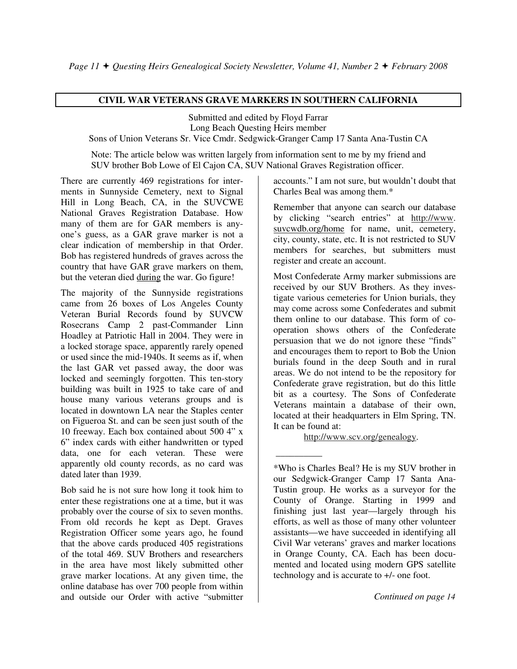#### **CIVIL WAR VETERANS GRAVE MARKERS IN SOUTHERN CALIFORNIA**

Submitted and edited by Floyd Farrar Long Beach Questing Heirs member Sons of Union Veterans Sr. Vice Cmdr. Sedgwick-Granger Camp 17 Santa Ana-Tustin CA

 Note: The article below was written largely from information sent to me by my friend and SUV brother Bob Lowe of El Cajon CA, SUV National Graves Registration officer.

There are currently 469 registrations for interments in Sunnyside Cemetery, next to Signal Hill in Long Beach, CA, in the SUVCWE National Graves Registration Database. How many of them are for GAR members is anyone's guess, as a GAR grave marker is not a clear indication of membership in that Order. Bob has registered hundreds of graves across the country that have GAR grave markers on them, but the veteran died during the war. Go figure!

The majority of the Sunnyside registrations came from 26 boxes of Los Angeles County Veteran Burial Records found by SUVCW Rosecrans Camp 2 past-Commander Linn Hoadley at Patriotic Hall in 2004. They were in a locked storage space, apparently rarely opened or used since the mid-1940s. It seems as if, when the last GAR vet passed away, the door was locked and seemingly forgotten. This ten-story building was built in 1925 to take care of and house many various veterans groups and is located in downtown LA near the Staples center on Figueroa St. and can be seen just south of the 10 freeway. Each box contained about 500 4" x 6" index cards with either handwritten or typed data, one for each veteran. These were apparently old county records, as no card was dated later than 1939.

Bob said he is not sure how long it took him to enter these registrations one at a time, but it was probably over the course of six to seven months. From old records he kept as Dept. Graves Registration Officer some years ago, he found that the above cards produced 405 registrations of the total 469. SUV Brothers and researchers in the area have most likely submitted other grave marker locations. At any given time, the online database has over 700 people from within and outside our Order with active "submitter

accounts." I am not sure, but wouldn't doubt that Charles Beal was among them.\*

Remember that anyone can search our database by clicking "search entries" at http://www. suvcwdb.org/home for name, unit, cemetery, city, county, state, etc. It is not restricted to SUV members for searches, but submitters must register and create an account.

Most Confederate Army marker submissions are received by our SUV Brothers. As they investigate various cemeteries for Union burials, they may come across some Confederates and submit them online to our database. This form of cooperation shows others of the Confederate persuasion that we do not ignore these "finds" and encourages them to report to Bob the Union burials found in the deep South and in rural areas. We do not intend to be the repository for Confederate grave registration, but do this little bit as a courtesy. The Sons of Confederate Veterans maintain a database of their own, located at their headquarters in Elm Spring, TN. It can be found at:

http://www.scv.org/genealogy.

 $\overline{\phantom{a}}$ 

<sup>\*</sup>Who is Charles Beal? He is my SUV brother in our Sedgwick-Granger Camp 17 Santa Ana-Tustin group. He works as a surveyor for the County of Orange. Starting in 1999 and finishing just last year—largely through his efforts, as well as those of many other volunteer assistants—we have succeeded in identifying all Civil War veterans' graves and marker locations in Orange County, CA. Each has been documented and located using modern GPS satellite technology and is accurate to +/- one foot.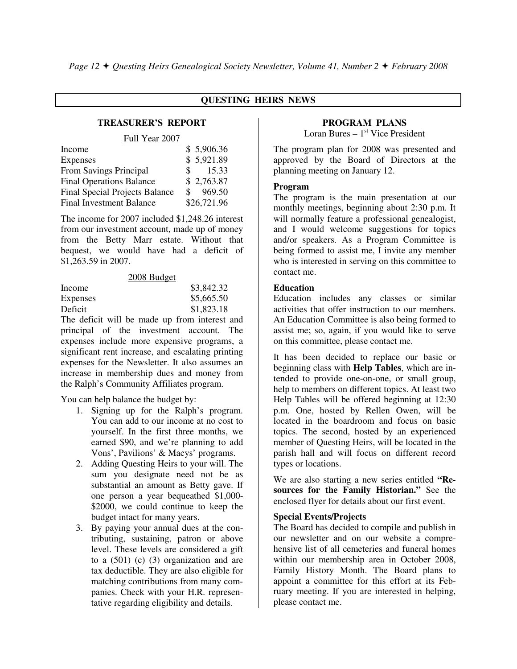#### **QUESTING HEIRS NEWS**

#### **TREASURER'S REPORT**

#### Full Year 2007

| Income                                | \$5,906.36   |
|---------------------------------------|--------------|
| <b>Expenses</b>                       | \$5,921.89   |
| From Savings Principal                | 15.33<br>S.  |
| <b>Final Operations Balance</b>       | \$2,763.87   |
| <b>Final Special Projects Balance</b> | 969.50<br>S. |
| <b>Final Investment Balance</b>       | \$26,721.96  |

The income for 2007 included \$1,248.26 interest from our investment account, made up of money from the Betty Marr estate. Without that bequest, we would have had a deficit of \$1,263.59 in 2007.

|                | 2008 Budget |
|----------------|-------------|
| Income         | \$3,842.32  |
| Expenses       | \$5,665.50  |
| <b>Deficit</b> | \$1,823.18  |

The deficit will be made up from interest and principal of the investment account. The expenses include more expensive programs, a significant rent increase, and escalating printing expenses for the Newsletter. It also assumes an increase in membership dues and money from the Ralph's Community Affiliates program.

You can help balance the budget by:

- 1. Signing up for the Ralph's program. You can add to our income at no cost to yourself. In the first three months, we earned \$90, and we're planning to add Vons', Pavilions' & Macys' programs.
- 2. Adding Questing Heirs to your will. The sum you designate need not be as substantial an amount as Betty gave. If one person a year bequeathed \$1,000- \$2000, we could continue to keep the budget intact for many years.
- 3. By paying your annual dues at the contributing, sustaining, patron or above level. These levels are considered a gift to a  $(501)$  (c)  $(3)$  organization and are tax deductible. They are also eligible for matching contributions from many companies. Check with your H.R. representative regarding eligibility and details.

## **PROGRAM PLANS**

Loran Bures –  $1<sup>st</sup>$  Vice President

The program plan for 2008 was presented and approved by the Board of Directors at the planning meeting on January 12.

#### **Program**

The program is the main presentation at our monthly meetings, beginning about 2:30 p.m. It will normally feature a professional genealogist, and I would welcome suggestions for topics and/or speakers. As a Program Committee is being formed to assist me, I invite any member who is interested in serving on this committee to contact me.

#### **Education**

Education includes any classes or similar activities that offer instruction to our members. An Education Committee is also being formed to assist me; so, again, if you would like to serve on this committee, please contact me.

It has been decided to replace our basic or beginning class with **Help Tables**, which are intended to provide one-on-one, or small group, help to members on different topics. At least two Help Tables will be offered beginning at 12:30 p.m. One, hosted by Rellen Owen, will be located in the boardroom and focus on basic topics. The second, hosted by an experienced member of Questing Heirs, will be located in the parish hall and will focus on different record types or locations.

We are also starting a new series entitled **"Resources for the Family Historian."** See the enclosed flyer for details about our first event.

#### **Special Events/Projects**

The Board has decided to compile and publish in our newsletter and on our website a comprehensive list of all cemeteries and funeral homes within our membership area in October 2008, Family History Month. The Board plans to appoint a committee for this effort at its February meeting. If you are interested in helping, please contact me.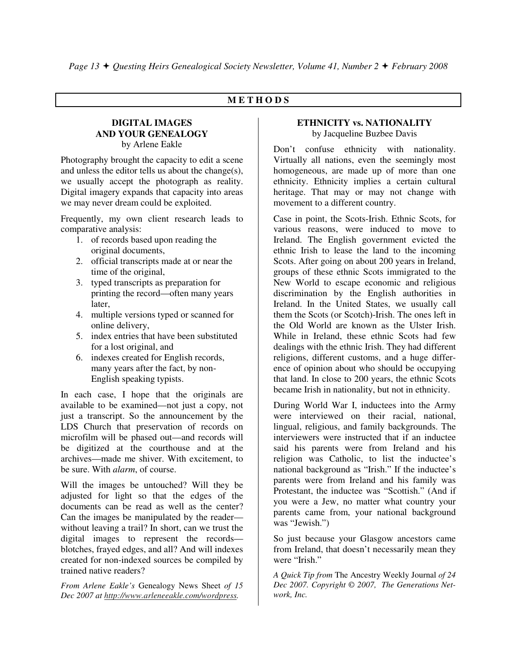## **M E T H O D S**

#### **DIGITAL IMAGES AND YOUR GENEALOGY**  by Arlene Eakle

Photography brought the capacity to edit a scene and unless the editor tells us about the change(s), we usually accept the photograph as reality. Digital imagery expands that capacity into areas we may never dream could be exploited.

Frequently, my own client research leads to comparative analysis:

- 1. of records based upon reading the original documents,
- 2. official transcripts made at or near the time of the original,
- 3. typed transcripts as preparation for printing the record—often many years later,
- 4. multiple versions typed or scanned for online delivery,
- 5. index entries that have been substituted for a lost original, and
- 6. indexes created for English records, many years after the fact, by non-English speaking typists.

In each case, I hope that the originals are available to be examined—not just a copy, not just a transcript. So the announcement by the LDS Church that preservation of records on microfilm will be phased out—and records will be digitized at the courthouse and at the archives—made me shiver. With excitement, to be sure. With *alarm*, of course.

Will the images be untouched? Will they be adjusted for light so that the edges of the documents can be read as well as the center? Can the images be manipulated by the reader without leaving a trail? In short, can we trust the digital images to represent the records blotches, frayed edges, and all? And will indexes created for non-indexed sources be compiled by trained native readers?

*From Arlene Eakle's* Genealogy News Sheet *of 15 Dec 2007 at http://www.arleneeakle.com/wordpress.* 

#### **ETHNICITY vs. NATIONALITY**  by Jacqueline Buzbee Davis

Don't confuse ethnicity with nationality. Virtually all nations, even the seemingly most homogeneous, are made up of more than one ethnicity. Ethnicity implies a certain cultural heritage. That may or may not change with movement to a different country.

Case in point, the Scots-Irish. Ethnic Scots, for various reasons, were induced to move to Ireland. The English government evicted the ethnic Irish to lease the land to the incoming Scots. After going on about 200 years in Ireland, groups of these ethnic Scots immigrated to the New World to escape economic and religious discrimination by the English authorities in Ireland. In the United States, we usually call them the Scots (or Scotch)-Irish. The ones left in the Old World are known as the Ulster Irish. While in Ireland, these ethnic Scots had few dealings with the ethnic Irish. They had different religions, different customs, and a huge difference of opinion about who should be occupying that land. In close to 200 years, the ethnic Scots became Irish in nationality, but not in ethnicity.

During World War I, inductees into the Army were interviewed on their racial, national, lingual, religious, and family backgrounds. The interviewers were instructed that if an inductee said his parents were from Ireland and his religion was Catholic, to list the inductee's national background as "Irish." If the inductee's parents were from Ireland and his family was Protestant, the inductee was "Scottish." (And if you were a Jew, no matter what country your parents came from, your national background was "Jewish.")

So just because your Glasgow ancestors came from Ireland, that doesn't necessarily mean they were "Irish."

*A Quick Tip from* The Ancestry Weekly Journal *of 24 Dec 2007. Copyright © 2007, The Generations Network, Inc.*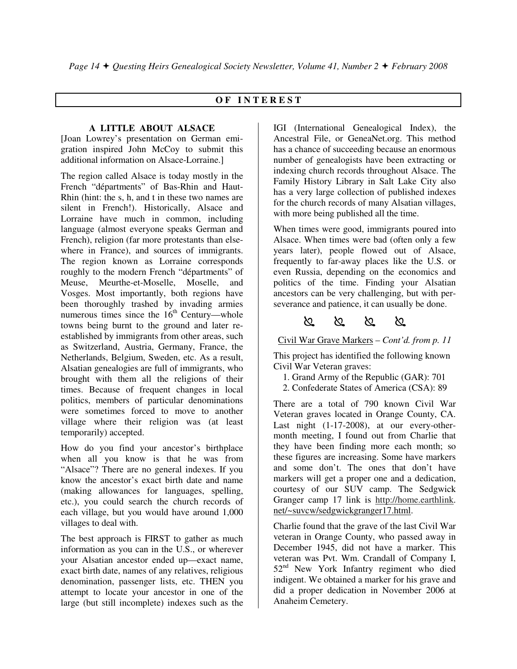## **O F I N T E R E S T**

## **A LITTLE ABOUT ALSACE**

[Joan Lowrey's presentation on German emigration inspired John McCoy to submit this additional information on Alsace-Lorraine.]

The region called Alsace is today mostly in the French "départments" of Bas-Rhin and Haut-Rhin (hint: the s, h, and t in these two names are silent in French!). Historically, Alsace and Lorraine have much in common, including language (almost everyone speaks German and French), religion (far more protestants than elsewhere in France), and sources of immigrants. The region known as Lorraine corresponds roughly to the modern French "départments" of Meuse, Meurthe-et-Moselle, Moselle, and Vosges. Most importantly, both regions have been thoroughly trashed by invading armies numerous times since the  $16<sup>th</sup>$  Century—whole towns being burnt to the ground and later reestablished by immigrants from other areas, such as Switzerland, Austria, Germany, France, the Netherlands, Belgium, Sweden, etc. As a result, Alsatian genealogies are full of immigrants, who brought with them all the religions of their times. Because of frequent changes in local politics, members of particular denominations were sometimes forced to move to another village where their religion was (at least temporarily) accepted.

How do you find your ancestor's birthplace when all you know is that he was from "Alsace"? There are no general indexes. If you know the ancestor's exact birth date and name (making allowances for languages, spelling, etc.), you could search the church records of each village, but you would have around 1,000 villages to deal with.

The best approach is FIRST to gather as much information as you can in the U.S., or wherever your Alsatian ancestor ended up—exact name, exact birth date, names of any relatives, religious denomination, passenger lists, etc. THEN you attempt to locate your ancestor in one of the large (but still incomplete) indexes such as the

IGI (International Genealogical Index), the Ancestral File, or GeneaNet.org. This method has a chance of succeeding because an enormous number of genealogists have been extracting or indexing church records throughout Alsace. The Family History Library in Salt Lake City also has a very large collection of published indexes for the church records of many Alsatian villages, with more being published all the time.

When times were good, immigrants poured into Alsace. When times were bad (often only a few years later), people flowed out of Alsace, frequently to far-away places like the U.S. or even Russia, depending on the economics and politics of the time. Finding your Alsatian ancestors can be very challenging, but with perseverance and patience, it can usually be done.

# $\begin{matrix} 2 & 2 & 2 & 2 \ 2 & 2 & 2 & 2 \end{matrix}$

Civil War Grave Markers – *Cont'd. from p. 11* 

This project has identified the following known Civil War Veteran graves:

- 1. Grand Army of the Republic (GAR): 701
- 2. Confederate States of America (CSA): 89

There are a total of 790 known Civil War Veteran graves located in Orange County, CA. Last night (1-17-2008), at our every-othermonth meeting, I found out from Charlie that they have been finding more each month; so these figures are increasing. Some have markers and some don't. The ones that don't have markers will get a proper one and a dedication, courtesy of our SUV camp. The Sedgwick Granger camp 17 link is http://home.earthlink. net/~suvcw/sedgwickgranger17.html.

Charlie found that the grave of the last Civil War veteran in Orange County, who passed away in December 1945, did not have a marker. This veteran was Pvt. Wm. Crandall of Company I, 52nd New York Infantry regiment who died indigent. We obtained a marker for his grave and did a proper dedication in November 2006 at Anaheim Cemetery.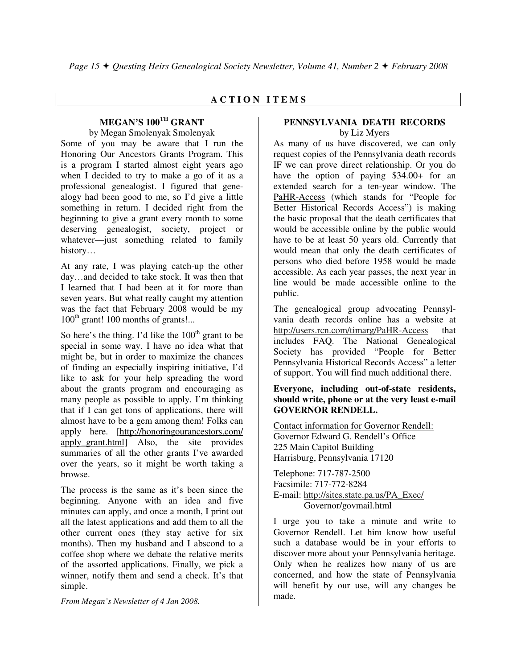## **A C T I O N I T E M S**

## **MEGAN'S 100TH GRANT**

by Megan Smolenyak Smolenyak Some of you may be aware that I run the Honoring Our Ancestors Grants Program. This is a program I started almost eight years ago when I decided to try to make a go of it as a professional genealogist. I figured that genealogy had been good to me, so I'd give a little something in return. I decided right from the beginning to give a grant every month to some deserving genealogist, society, project or whatever—just something related to family

At any rate, I was playing catch-up the other day…and decided to take stock. It was then that I learned that I had been at it for more than seven years. But what really caught my attention was the fact that February 2008 would be my  $100<sup>th</sup>$  grant! 100 months of grants!...

history…

So here's the thing. I'd like the  $100<sup>th</sup>$  grant to be special in some way. I have no idea what that might be, but in order to maximize the chances of finding an especially inspiring initiative, I'd like to ask for your help spreading the word about the grants program and encouraging as many people as possible to apply. I'm thinking that if I can get tons of applications, there will almost have to be a gem among them! Folks can apply here. [http://honoringourancestors.com/ apply\_grant.html] Also, the site provides summaries of all the other grants I've awarded over the years, so it might be worth taking a browse.

The process is the same as it's been since the beginning. Anyone with an idea and five minutes can apply, and once a month, I print out all the latest applications and add them to all the other current ones (they stay active for six months). Then my husband and I abscond to a coffee shop where we debate the relative merits of the assorted applications. Finally, we pick a winner, notify them and send a check. It's that simple.

*From Megan's Newsletter of 4 Jan 2008.* 

#### **PENNSYLVANIA DEATH RECORDS**  by Liz Myers

As many of us have discovered, we can only request copies of the Pennsylvania death records IF we can prove direct relationship. Or you do have the option of paying \$34.00+ for an extended search for a ten-year window. The PaHR-Access (which stands for "People for Better Historical Records Access") is making the basic proposal that the death certificates that would be accessible online by the public would have to be at least 50 years old. Currently that would mean that only the death certificates of persons who died before 1958 would be made accessible. As each year passes, the next year in line would be made accessible online to the public.

The genealogical group advocating Pennsylvania death records online has a website at http://users.rcn.com/timarg/PaHR-Access that includes FAQ. The National Genealogical Society has provided "People for Better Pennsylvania Historical Records Access" a letter of support. You will find much additional there.

#### **Everyone, including out-of-state residents, should write, phone or at the very least e-mail GOVERNOR RENDELL.**

Contact information for Governor Rendell: Governor Edward G. Rendell's Office 225 Main Capitol Building Harrisburg, Pennsylvania 17120

Telephone: 717-787-2500 Facsimile: 717-772-8284 E-mail: http://sites.state.pa.us/PA\_Exec/ Governor/govmail.html

I urge you to take a minute and write to Governor Rendell. Let him know how useful such a database would be in your efforts to discover more about your Pennsylvania heritage. Only when he realizes how many of us are concerned, and how the state of Pennsylvania will benefit by our use, will any changes be made.